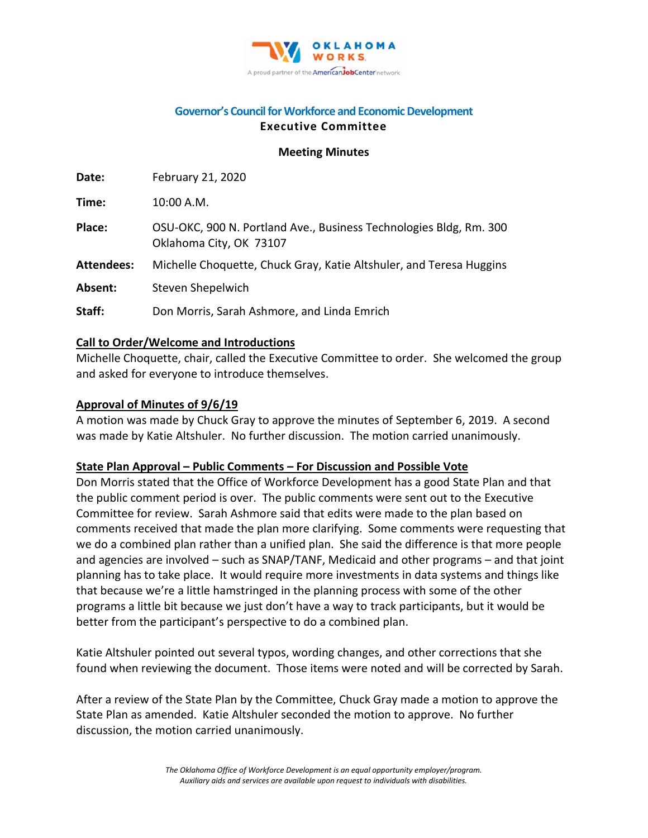

### **Governor's Council for Workforce and Economic Development Executive Committee**

#### **Meeting Minutes**

| Date:             | February 21, 2020                                                                             |
|-------------------|-----------------------------------------------------------------------------------------------|
| Time:             | 10:00 A.M.                                                                                    |
| Place:            | OSU-OKC, 900 N. Portland Ave., Business Technologies Bldg, Rm. 300<br>Oklahoma City, OK 73107 |
| <b>Attendees:</b> | Michelle Choquette, Chuck Gray, Katie Altshuler, and Teresa Huggins                           |
| Absent:           | Steven Shepelwich                                                                             |
| Staff:            | Don Morris, Sarah Ashmore, and Linda Emrich                                                   |

#### **Call to Order/Welcome and Introductions**

Michelle Choquette, chair, called the Executive Committee to order. She welcomed the group and asked for everyone to introduce themselves.

#### **Approval of Minutes of 9/6/19**

A motion was made by Chuck Gray to approve the minutes of September 6, 2019. A second was made by Katie Altshuler. No further discussion. The motion carried unanimously.

#### **State Plan Approval – Public Comments – For Discussion and Possible Vote**

Don Morris stated that the Office of Workforce Development has a good State Plan and that the public comment period is over. The public comments were sent out to the Executive Committee for review. Sarah Ashmore said that edits were made to the plan based on comments received that made the plan more clarifying. Some comments were requesting that we do a combined plan rather than a unified plan. She said the difference is that more people and agencies are involved – such as SNAP/TANF, Medicaid and other programs – and that joint planning has to take place. It would require more investments in data systems and things like that because we're a little hamstringed in the planning process with some of the other programs a little bit because we just don't have a way to track participants, but it would be better from the participant's perspective to do a combined plan.

Katie Altshuler pointed out several typos, wording changes, and other corrections that she found when reviewing the document. Those items were noted and will be corrected by Sarah.

After a review of the State Plan by the Committee, Chuck Gray made a motion to approve the State Plan as amended. Katie Altshuler seconded the motion to approve. No further discussion, the motion carried unanimously.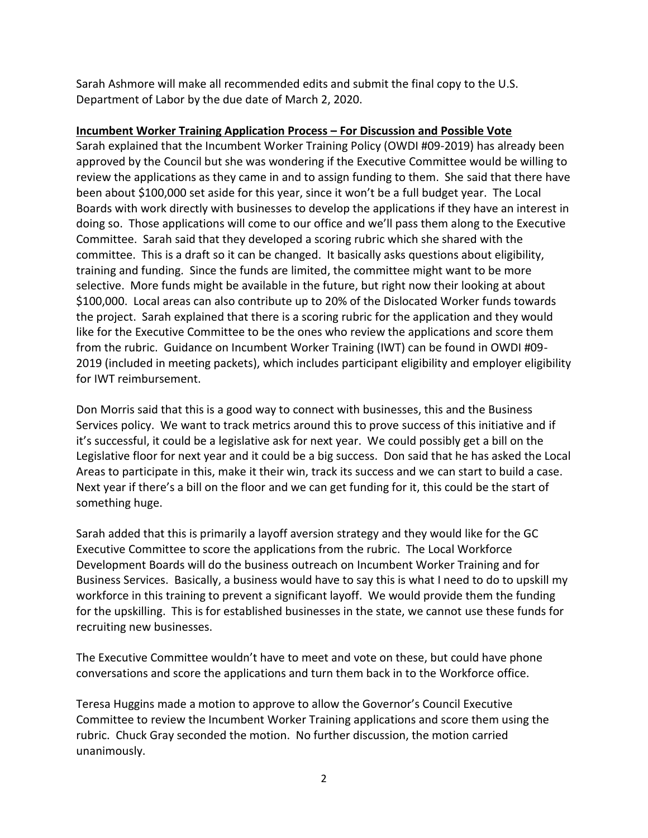Sarah Ashmore will make all recommended edits and submit the final copy to the U.S. Department of Labor by the due date of March 2, 2020.

# **Incumbent Worker Training Application Process – For Discussion and Possible Vote**

Sarah explained that the Incumbent Worker Training Policy (OWDI #09-2019) has already been approved by the Council but she was wondering if the Executive Committee would be willing to review the applications as they came in and to assign funding to them. She said that there have been about \$100,000 set aside for this year, since it won't be a full budget year. The Local Boards with work directly with businesses to develop the applications if they have an interest in doing so. Those applications will come to our office and we'll pass them along to the Executive Committee. Sarah said that they developed a scoring rubric which she shared with the committee. This is a draft so it can be changed. It basically asks questions about eligibility, training and funding. Since the funds are limited, the committee might want to be more selective. More funds might be available in the future, but right now their looking at about \$100,000. Local areas can also contribute up to 20% of the Dislocated Worker funds towards the project. Sarah explained that there is a scoring rubric for the application and they would like for the Executive Committee to be the ones who review the applications and score them from the rubric. Guidance on Incumbent Worker Training (IWT) can be found in OWDI #09- 2019 (included in meeting packets), which includes participant eligibility and employer eligibility for IWT reimbursement.

Don Morris said that this is a good way to connect with businesses, this and the Business Services policy. We want to track metrics around this to prove success of this initiative and if it's successful, it could be a legislative ask for next year. We could possibly get a bill on the Legislative floor for next year and it could be a big success. Don said that he has asked the Local Areas to participate in this, make it their win, track its success and we can start to build a case. Next year if there's a bill on the floor and we can get funding for it, this could be the start of something huge.

Sarah added that this is primarily a layoff aversion strategy and they would like for the GC Executive Committee to score the applications from the rubric. The Local Workforce Development Boards will do the business outreach on Incumbent Worker Training and for Business Services. Basically, a business would have to say this is what I need to do to upskill my workforce in this training to prevent a significant layoff. We would provide them the funding for the upskilling. This is for established businesses in the state, we cannot use these funds for recruiting new businesses.

The Executive Committee wouldn't have to meet and vote on these, but could have phone conversations and score the applications and turn them back in to the Workforce office.

Teresa Huggins made a motion to approve to allow the Governor's Council Executive Committee to review the Incumbent Worker Training applications and score them using the rubric. Chuck Gray seconded the motion. No further discussion, the motion carried unanimously.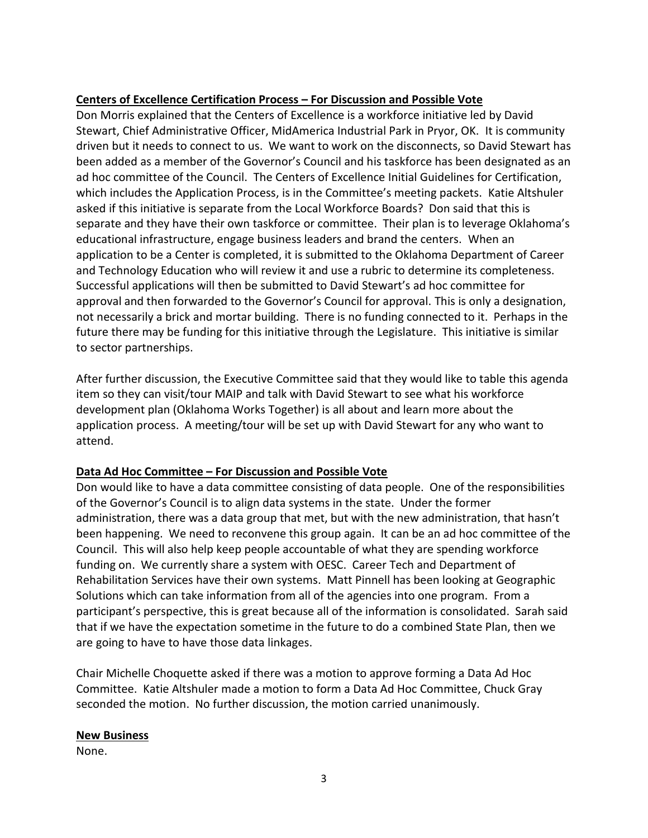# **Centers of Excellence Certification Process – For Discussion and Possible Vote**

Don Morris explained that the Centers of Excellence is a workforce initiative led by David Stewart, Chief Administrative Officer, MidAmerica Industrial Park in Pryor, OK. It is community driven but it needs to connect to us. We want to work on the disconnects, so David Stewart has been added as a member of the Governor's Council and his taskforce has been designated as an ad hoc committee of the Council. The Centers of Excellence Initial Guidelines for Certification, which includes the Application Process, is in the Committee's meeting packets. Katie Altshuler asked if this initiative is separate from the Local Workforce Boards? Don said that this is separate and they have their own taskforce or committee. Their plan is to leverage Oklahoma's educational infrastructure, engage business leaders and brand the centers. When an application to be a Center is completed, it is submitted to the Oklahoma Department of Career and Technology Education who will review it and use a rubric to determine its completeness. Successful applications will then be submitted to David Stewart's ad hoc committee for approval and then forwarded to the Governor's Council for approval. This is only a designation, not necessarily a brick and mortar building. There is no funding connected to it. Perhaps in the future there may be funding for this initiative through the Legislature. This initiative is similar to sector partnerships.

After further discussion, the Executive Committee said that they would like to table this agenda item so they can visit/tour MAIP and talk with David Stewart to see what his workforce development plan (Oklahoma Works Together) is all about and learn more about the application process. A meeting/tour will be set up with David Stewart for any who want to attend.

# **Data Ad Hoc Committee – For Discussion and Possible Vote**

Don would like to have a data committee consisting of data people. One of the responsibilities of the Governor's Council is to align data systems in the state. Under the former administration, there was a data group that met, but with the new administration, that hasn't been happening. We need to reconvene this group again. It can be an ad hoc committee of the Council. This will also help keep people accountable of what they are spending workforce funding on. We currently share a system with OESC. Career Tech and Department of Rehabilitation Services have their own systems. Matt Pinnell has been looking at Geographic Solutions which can take information from all of the agencies into one program. From a participant's perspective, this is great because all of the information is consolidated. Sarah said that if we have the expectation sometime in the future to do a combined State Plan, then we are going to have to have those data linkages.

Chair Michelle Choquette asked if there was a motion to approve forming a Data Ad Hoc Committee. Katie Altshuler made a motion to form a Data Ad Hoc Committee, Chuck Gray seconded the motion. No further discussion, the motion carried unanimously.

#### **New Business**

None.